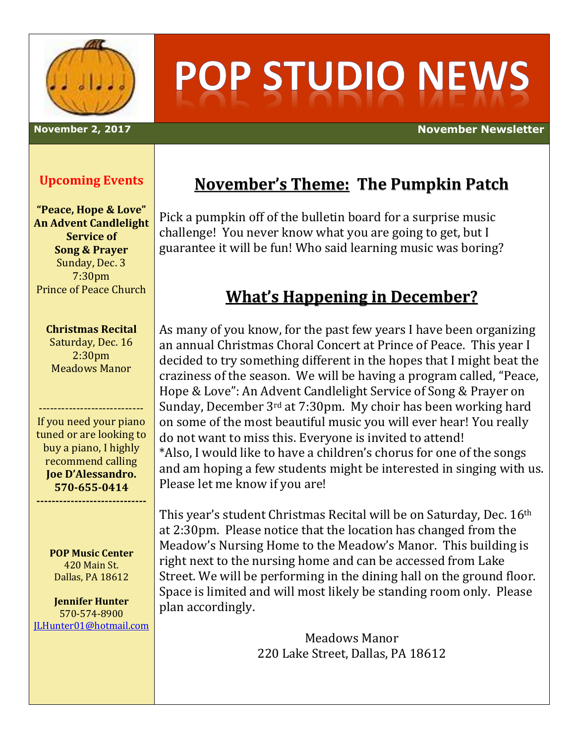

# **POP STUDIO NEWS**

**November 2, 2017 November Newsletter**

#### **Upcoming Events**

**"Peace, Hope & Love" An Advent Candlelight Service of Song & Prayer** Sunday, Dec. 3 7:30pm Prince of Peace Church

**Christmas Recital** Saturday, Dec. 16

2:30pm Meadows Manor

---------------------------- If you need your piano tuned or are looking to buy a piano, I highly recommend calling **Joe D'Alessandro. 570-655-0414**

**-----------------------------**

**POP Music Center** 420 Main St. Dallas, PA 18612

**Jennifer Hunter** 570-574-8900 [JLHunter01@hotmail.com](mailto:JLHunter01@hotmail.com)

## **November's Theme: The Pumpkin Patch**

Pick a pumpkin off of the bulletin board for a surprise music challenge! You never know what you are going to get, but I guarantee it will be fun! Who said learning music was boring?

#### **What's Happening in December?**

As many of you know, for the past few years I have been organizing an annual Christmas Choral Concert at Prince of Peace. This year I decided to try something different in the hopes that I might beat the craziness of the season. We will be having a program called, "Peace, Hope & Love": An Advent Candlelight Service of Song & Prayer on Sunday, December 3rd at 7:30pm. My choir has been working hard on some of the most beautiful music you will ever hear! You really do not want to miss this. Everyone is invited to attend! \*Also, I would like to have a children's chorus for one of the songs and am hoping a few students might be interested in singing with us. Please let me know if you are!

This year's student Christmas Recital will be on Saturday, Dec. 16<sup>th</sup> at 2:30pm. Please notice that the location has changed from the Meadow's Nursing Home to the Meadow's Manor. This building is right next to the nursing home and can be accessed from Lake Street. We will be performing in the dining hall on the ground floor. Space is limited and will most likely be standing room only. Please plan accordingly.

> Meadows Manor 220 Lake Street, Dallas, PA 18612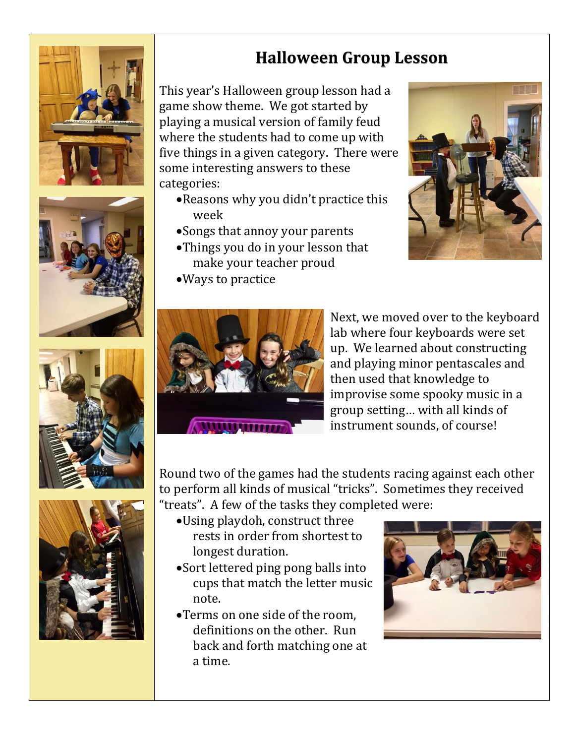







## **Halloween Group Lesson**

This year's Halloween group lesson had a game show theme. We got started by playing a musical version of family feud where the students had to come up with five things in a given category. There were some interesting answers to these categories:

- Reasons why you didn't practice this week
- Songs that annoy your parents
- Things you do in your lesson that make your teacher proud
- Ways to practice





Next, we moved over to the keyboard lab where four keyboards were set up. We learned about constructing and playing minor pentascales and then used that knowledge to improvise some spooky music in a group setting… with all kinds of instrument sounds, of course!

Round two of the games had the students racing against each other to perform all kinds of musical "tricks". Sometimes they received "treats". A few of the tasks they completed were:

- Using playdoh, construct three rests in order from shortest to longest duration.
- Sort lettered ping pong balls into cups that match the letter music note.
- Terms on one side of the room, definitions on the other. Run back and forth matching one at a time.